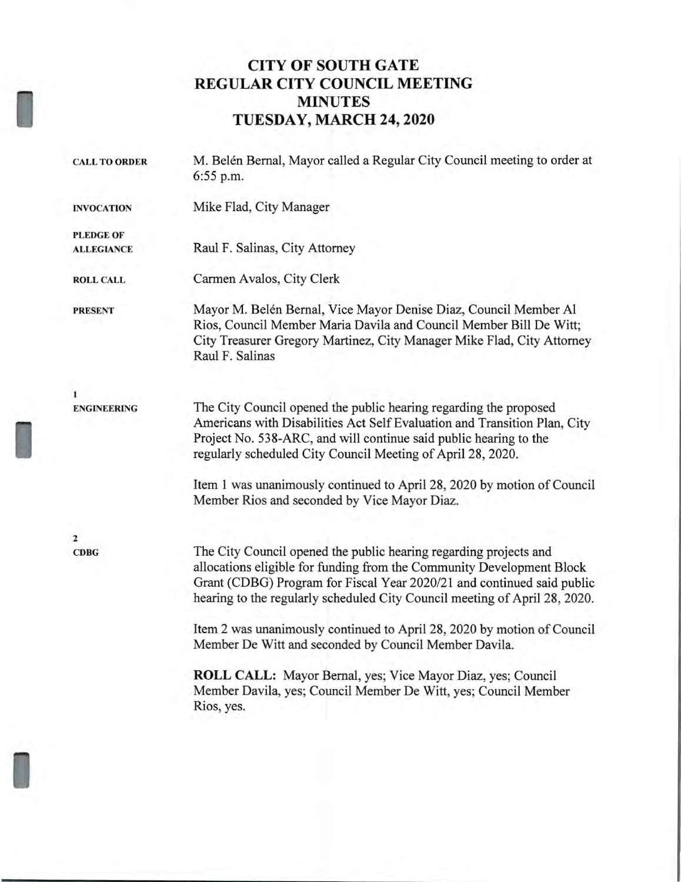# **CITY OF SOUTH GATE REGULAR CITY COUNCIL MEETING MINUTES TUESDAY, MARCH 24, 2020**

| <b>CALL TO ORDER</b> | M. Belén Bernal, Mayor called a Regular City Council meeting to order at<br>6:55 p.m.                                                                                                                                                                                                              |
|----------------------|----------------------------------------------------------------------------------------------------------------------------------------------------------------------------------------------------------------------------------------------------------------------------------------------------|
| <b>INVOCATION</b>    | Mike Flad, City Manager                                                                                                                                                                                                                                                                            |
| <b>PLEDGE OF</b>     |                                                                                                                                                                                                                                                                                                    |
| <b>ALLEGIANCE</b>    | Raul F. Salinas, City Attorney                                                                                                                                                                                                                                                                     |
| <b>ROLL CALL</b>     | Carmen Avalos, City Clerk                                                                                                                                                                                                                                                                          |
| <b>PRESENT</b>       | Mayor M. Belén Bernal, Vice Mayor Denise Diaz, Council Member Al<br>Rios, Council Member Maria Davila and Council Member Bill De Witt;<br>City Treasurer Gregory Martinez, City Manager Mike Flad, City Attorney<br>Raul F. Salinas                                                                |
| 1                    |                                                                                                                                                                                                                                                                                                    |
| <b>ENGINEERING</b>   | The City Council opened the public hearing regarding the proposed<br>Americans with Disabilities Act Self Evaluation and Transition Plan, City<br>Project No. 538-ARC, and will continue said public hearing to the<br>regularly scheduled City Council Meeting of April 28, 2020.                 |
|                      | Item 1 was unanimously continued to April 28, 2020 by motion of Council<br>Member Rios and seconded by Vice Mayor Diaz.                                                                                                                                                                            |
| $\mathbf{2}$         |                                                                                                                                                                                                                                                                                                    |
| <b>CDBG</b>          | The City Council opened the public hearing regarding projects and<br>allocations eligible for funding from the Community Development Block<br>Grant (CDBG) Program for Fiscal Year 2020/21 and continued said public<br>hearing to the regularly scheduled City Council meeting of April 28, 2020. |
|                      | Item 2 was unanimously continued to April 28, 2020 by motion of Council<br>Member De Witt and seconded by Council Member Davila.                                                                                                                                                                   |
|                      | ROLL CALL: Mayor Bernal, yes; Vice Mayor Diaz, yes; Council<br>Member Davila, yes; Council Member De Witt, yes; Council Member<br>Rios, yes.                                                                                                                                                       |
|                      |                                                                                                                                                                                                                                                                                                    |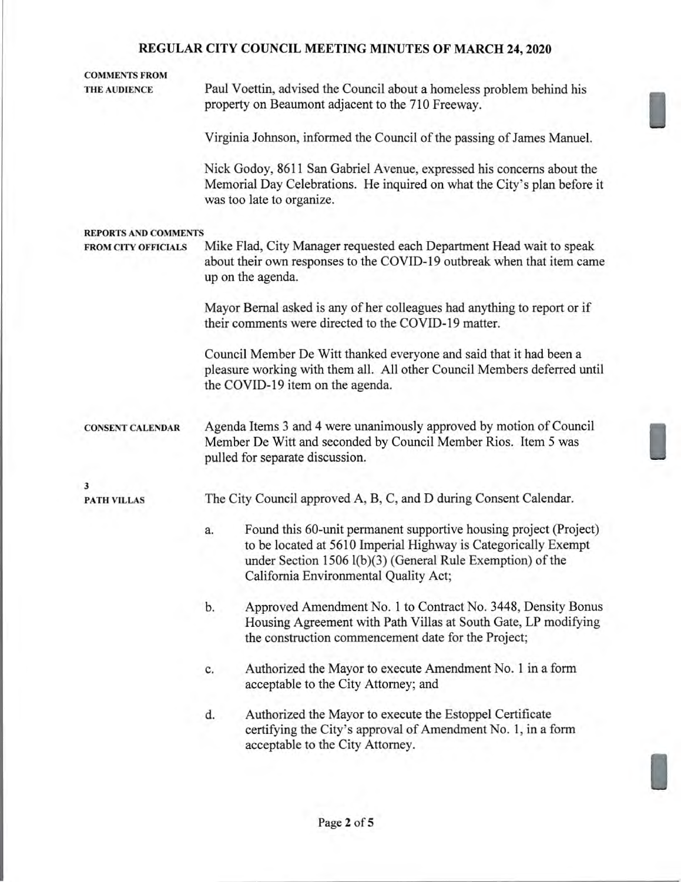# **COMMENTS FROM**

**THE AUDIENCE** Paul Voettin, advised the Council about a homeless problem behind his property on Beaumont adjacent to the 710 Freeway.

Virginia Johnson, informed the Council of the passing of James Manuel.

Nick Godoy, 8611 San Gabriel Avenue, expressed his concerns about the Memorial Day Celebrations. He inquired on what the City's plan before it was too late to organize.

#### **REPORTS AND COMMENTS**

**FROM CITY OFFICIALS** Mike Flad, City Manager requested each Department Head wait to speak about their own responses to the COVID-19 outbreak when that item came up on the agenda.

> Mayor Bernal asked is any of her colleagues had anything to report or if their comments were directed to the COVID-19 matter.

Council Member De Witt thanked everyone and said that it had been a pleasure working with them all. All other Council Members deferred until the COVID-19 item on the agenda.

**CONSENT CALENDAR** Agenda Items 3 and 4 were unanimously approved by motion of Council Member De Witt and seconded by Council Member Rios. Item 5 was pulled for separate discussion.

**3** 

**PATH VILLAS** The City Council approved A, B, C, and D during Consent Calendar.

- a. Found this 60-unit permanent supportive housing project (Project) to be located at 5610 Imperial Highway is Categorically Exempt under Section 1506 1(b)(3) (General Rule Exemption) of the California Environmental Quality Act;
- b. Approved Amendment No. 1 to Contract No. 3448, Density Bonus Housing Agreement with Path Villas at South Gate, LP modifying the construction commencement date for the Project;
- c. Authorized the Mayor to execute Amendment No. 1 in a form acceptable to the City Attorney; and
- d. Authorized the Mayor to execute the Estoppel Certificate certifying the City's approval of Amendment No. 1, in a form acceptable to the City Attorney.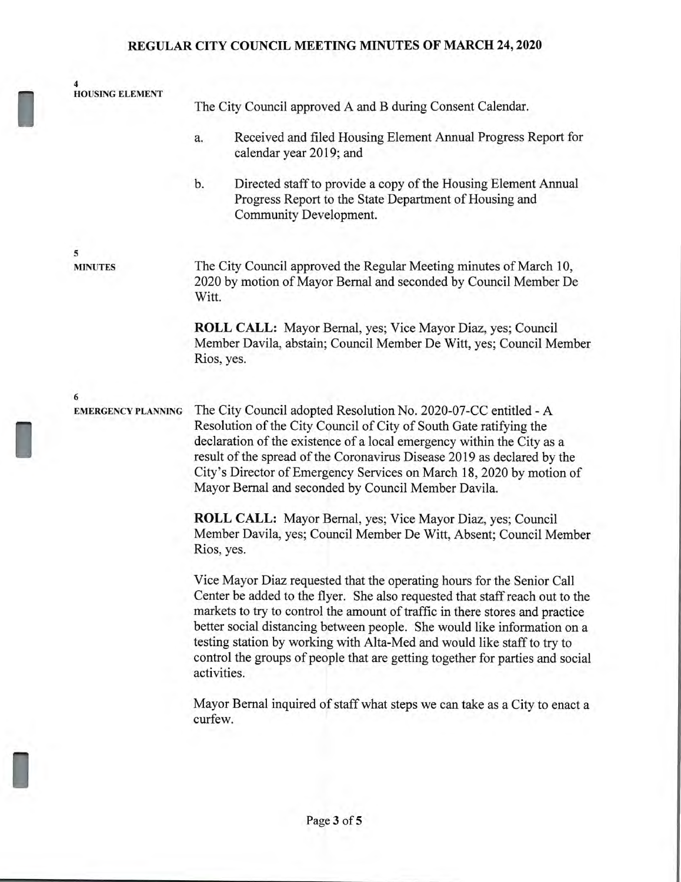**4 HOUSING ELEMENT** The City Council approved A and B during Consent Calendar. a. Received and filed Housing Element Annual Progress Report for calendar year 2019; and b. Directed staff to provide a copy of the Housing Element Annual Progress Report to the State Department of Housing and Community Development. **5 MINUTES** The City Council approved the Regular Meeting minutes of March 10, 2020 by motion of Mayor Bernal and seconded by Council Member De Witt. **ROLL CALL:** Mayor Bernal, yes; Vice Mayor Diaz, yes; Council

Member Davila, abstain; Council Member De Witt, yes; Council Member Rios, yes.

**EMERGENCY PLANNING** The City Council adopted Resolution No. 2020-07-CC entitled - A Resolution of the City Council of City of South Gate ratifying the declaration of the existence of a local emergency within the City as a result of the spread of the Coronavirus Disease 2019 as declared by the City's Director of Emergency Services on March 18, 2020 by motion of Mayor Bernal and seconded by Council Member Davila.

**6** 

I

II

**ROLL CALL:** Mayor Bernal, yes; Vice Mayor Diaz, yes; Council Member Davila, yes; Council Member De Witt, Absent; Council Member Rios, yes.

Vice Mayor Diaz requested that the operating hours for the Senior Call Center be added to the flyer. She also requested that staff reach out to the markets to try to control the amount of traffic in there stores and practice better social distancing between people. She would like information on a testing station by working with Alta-Med and would like staff to try to control the groups of people that are getting together for parties and social activities.

Mayor Bernal inquired of staff what steps we can take as a City to enact a curfew.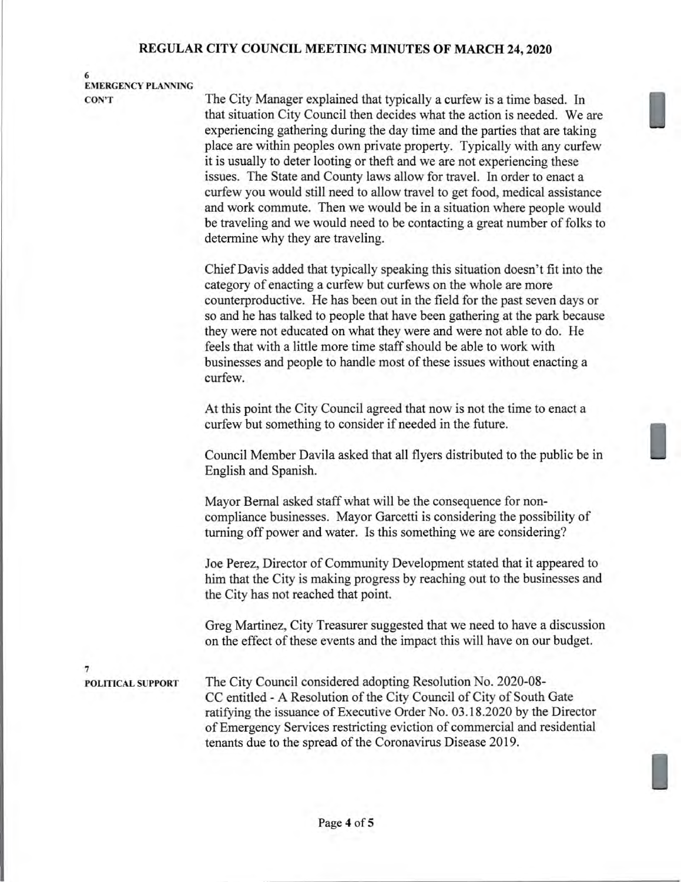**6 EMERGENCY PLANNING** 

**CON'T** The City Manager explained that typically a curfew is a time based. In that situation City Council then decides what the action is needed. We are experiencing gathering during the day time and the parties that are taking place are within peoples own private property. Typically with any curfew it is usually to deter looting or theft and we are not experiencing these issues. The State and County laws allow for travel. In order to enact a curfew you would still need to allow travel to get food, medical assistance and work commute. Then we would be in a situation where people would be traveling and we would need to be contacting a great number of folks to determine why they are traveling.

> Chief Davis added that typically speaking this situation doesn't fit into the category of enacting a curfew but curfews on the whole are more counterproductive. He has been out in the field for the past seven days or so and he has talked to people that have been gathering at the park because they were not educated on what they were and were not able to do. He feels that with a little more time staff should be able to work with businesses and people to handle most of these issues without enacting a curfew.

At this point the City Council agreed that now is not the time to enact a curfew but something to consider if needed in the future.

Council Member Davila asked that all flyers distributed to the public be in English and Spanish.

Mayor Bernal asked staff what will be the consequence for noncompliance businesses. Mayor Garcetti is considering the possibility of turning off power and water. Is this something we are considering?

Joe Perez, Director of Community Development stated that it appeared to him that the City is making progress by reaching out to the businesses and the City has not reached that point.

Greg Martinez, City Treasurer suggested that we need to have a discussion on the effect of these events and the impact this will have on our budget.

**7** 

**POLITICAL SUPPORT** The City Council considered adopting Resolution No. 2020-08- CC entitled - A Resolution of the City Council of City of South Gate ratifying the issuance of Executive Order No. 03.18.2020 by the Director of Emergency Services restricting eviction of commercial and residential tenants due to the spread of the Coronavirus Disease 2019.